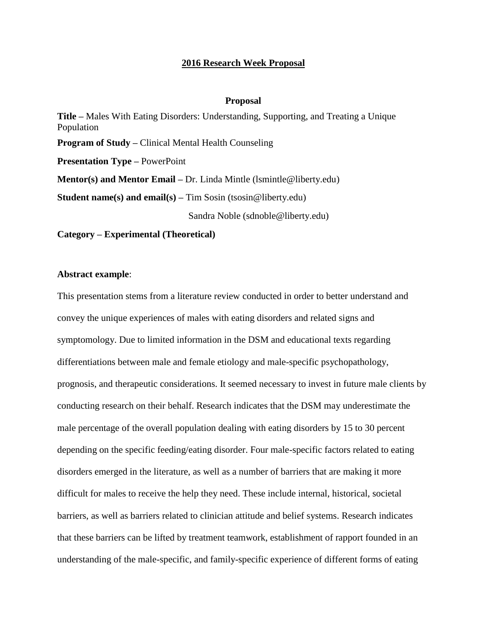## **2016 Research Week Proposal**

## **Proposal**

**Title –** Males With Eating Disorders: Understanding, Supporting, and Treating a Unique Population **Program of Study –** Clinical Mental Health Counseling **Presentation Type –** PowerPoint **Mentor(s) and Mentor Email –** Dr. Linda Mintle (lsmintle@liberty.edu) **Student name(s) and email(s) –** Tim Sosin (tsosin@liberty.edu) Sandra Noble (sdnoble@liberty.edu) **Category – Experimental (Theoretical)**

## **Abstract example**:

This presentation stems from a literature review conducted in order to better understand and convey the unique experiences of males with eating disorders and related signs and symptomology. Due to limited information in the DSM and educational texts regarding differentiations between male and female etiology and male-specific psychopathology, prognosis, and therapeutic considerations. It seemed necessary to invest in future male clients by conducting research on their behalf. Research indicates that the DSM may underestimate the male percentage of the overall population dealing with eating disorders by 15 to 30 percent depending on the specific feeding/eating disorder. Four male-specific factors related to eating disorders emerged in the literature, as well as a number of barriers that are making it more difficult for males to receive the help they need. These include internal, historical, societal barriers, as well as barriers related to clinician attitude and belief systems. Research indicates that these barriers can be lifted by treatment teamwork, establishment of rapport founded in an understanding of the male-specific, and family-specific experience of different forms of eating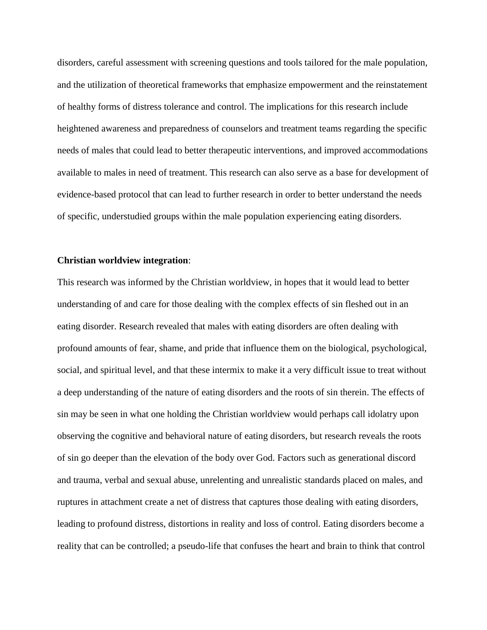disorders, careful assessment with screening questions and tools tailored for the male population, and the utilization of theoretical frameworks that emphasize empowerment and the reinstatement of healthy forms of distress tolerance and control. The implications for this research include heightened awareness and preparedness of counselors and treatment teams regarding the specific needs of males that could lead to better therapeutic interventions, and improved accommodations available to males in need of treatment. This research can also serve as a base for development of evidence-based protocol that can lead to further research in order to better understand the needs of specific, understudied groups within the male population experiencing eating disorders.

## **Christian worldview integration**:

This research was informed by the Christian worldview, in hopes that it would lead to better understanding of and care for those dealing with the complex effects of sin fleshed out in an eating disorder. Research revealed that males with eating disorders are often dealing with profound amounts of fear, shame, and pride that influence them on the biological, psychological, social, and spiritual level, and that these intermix to make it a very difficult issue to treat without a deep understanding of the nature of eating disorders and the roots of sin therein. The effects of sin may be seen in what one holding the Christian worldview would perhaps call idolatry upon observing the cognitive and behavioral nature of eating disorders, but research reveals the roots of sin go deeper than the elevation of the body over God. Factors such as generational discord and trauma, verbal and sexual abuse, unrelenting and unrealistic standards placed on males, and ruptures in attachment create a net of distress that captures those dealing with eating disorders, leading to profound distress, distortions in reality and loss of control. Eating disorders become a reality that can be controlled; a pseudo-life that confuses the heart and brain to think that control